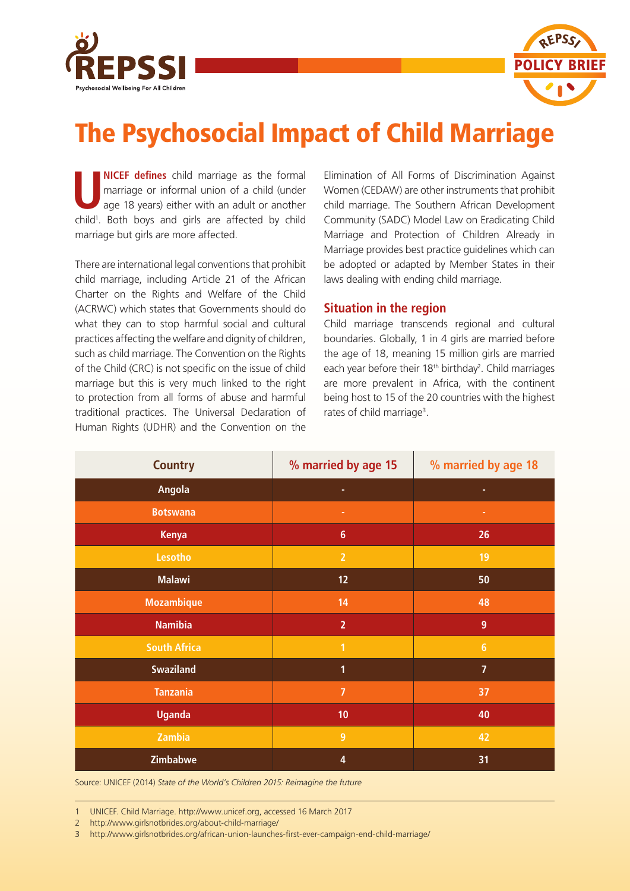



# The Psychosocial Impact of Child Marriage

**UNICEF defines** child marriage as the formal marriage or informal union of a child (under age 18 years) either with an adult or another child<sup>1</sup>. Both boys and girls are affected by child marriage but girls are more affected.

There are international legal conventions that prohibit child marriage, including Article 21 of the African Charter on the Rights and Welfare of the Child (ACRWC) which states that Governments should do what they can to stop harmful social and cultural practices affecting the welfare and dignity of children, such as child marriage. The Convention on the Rights of the Child (CRC) is not specific on the issue of child marriage but this is very much linked to the right to protection from all forms of abuse and harmful traditional practices. The Universal Declaration of Human Rights (UDHR) and the Convention on the

Elimination of All Forms of Discrimination Against Women (CEDAW) are other instruments that prohibit child marriage. The Southern African Development Community (SADC) Model Law on Eradicating Child Marriage and Protection of Children Already in Marriage provides best practice guidelines which can be adopted or adapted by Member States in their laws dealing with ending child marriage.

## **Situation in the region**

Child marriage transcends regional and cultural boundaries. Globally, 1 in 4 girls are married before the age of 18, meaning 15 million girls are married each year before their 18<sup>th</sup> birthday<sup>2</sup>. Child marriages are more prevalent in Africa, with the continent being host to 15 of the 20 countries with the highest rates of child marriage<sup>3</sup>.

| <b>Country</b>      | % married by age 15     | % married by age 18 |
|---------------------|-------------------------|---------------------|
| Angola              | ٠                       | ۰                   |
| <b>Botswana</b>     | ٠                       | ٠                   |
| <b>Kenya</b>        | $6\phantom{a}$          | 26                  |
| Lesotho             | $\overline{2}$          | 19                  |
| <b>Malawi</b>       | 12                      | 50                  |
| <b>Mozambique</b>   | 14                      | 48                  |
| <b>Namibia</b>      | $\overline{2}$          | $\overline{9}$      |
| <b>South Africa</b> | $\overline{1}$          | $6\phantom{a}$      |
| <b>Swaziland</b>    | 1                       | $\overline{7}$      |
| <b>Tanzania</b>     | $\overline{7}$          | 37                  |
| <b>Uganda</b>       | 10                      | 40                  |
| Zambia              | $\overline{9}$          | 42                  |
| Zimbabwe            | $\overline{\mathbf{4}}$ | 31                  |

Source: UNICEF (2014) *State of the World's Children 2015: Reimagine the future*

1 UNICEF. Child Marriage. http://www.unicef.org, accessed 16 March 2017

2 http://www.girlsnotbrides.org/about-child-marriage/

3 http://www.girlsnotbrides.org/african-union-launches-first-ever-campaign-end-child-marriage/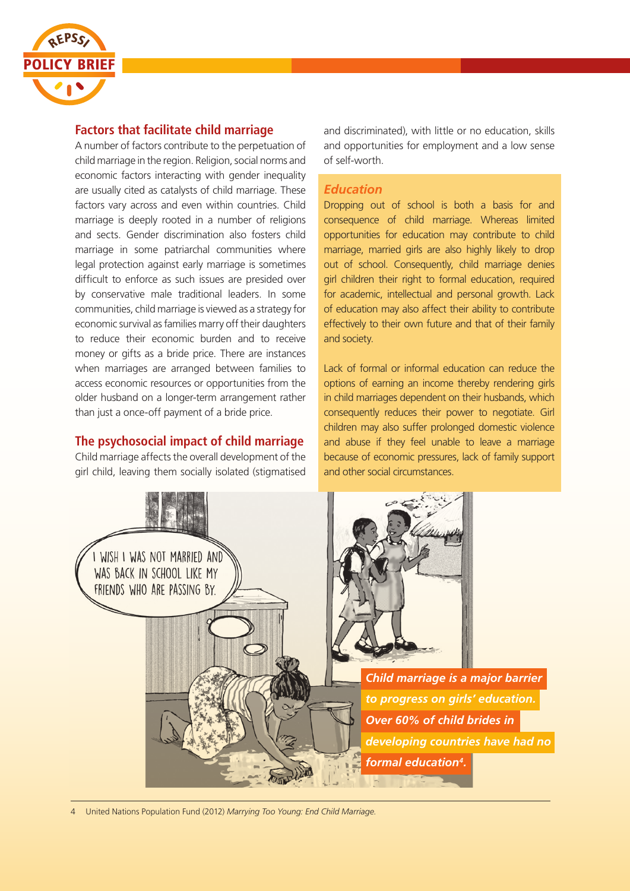

## **Factors that facilitate child marriage**

A number of factors contribute to the perpetuation of child marriage in the region. Religion, social norms and economic factors interacting with gender inequality are usually cited as catalysts of child marriage. These factors vary across and even within countries. Child marriage is deeply rooted in a number of religions and sects. Gender discrimination also fosters child marriage in some patriarchal communities where legal protection against early marriage is sometimes difficult to enforce as such issues are presided over by conservative male traditional leaders. In some communities, child marriage is viewed as a strategy for economic survival as families marry off their daughters to reduce their economic burden and to receive money or gifts as a bride price. There are instances when marriages are arranged between families to access economic resources or opportunities from the older husband on a longer-term arrangement rather than just a once-off payment of a bride price.

## **The psychosocial impact of child marriage**

Child marriage affects the overall development of the girl child, leaving them socially isolated (stigmatised and discriminated), with little or no education, skills and opportunities for employment and a low sense of self-worth.

#### *Education*

Dropping out of school is both a basis for and consequence of child marriage. Whereas limited opportunities for education may contribute to child marriage, married girls are also highly likely to drop out of school. Consequently, child marriage denies girl children their right to formal education, required for academic, intellectual and personal growth. Lack of education may also affect their ability to contribute effectively to their own future and that of their family and society.

Lack of formal or informal education can reduce the options of earning an income thereby rendering girls in child marriages dependent on their husbands, which consequently reduces their power to negotiate. Girl children may also suffer prolonged domestic violence and abuse if they feel unable to leave a marriage because of economic pressures, lack of family support and other social circumstances.



4 United Nations Population Fund (2012) *Marrying Too Young: End Child Marriage*.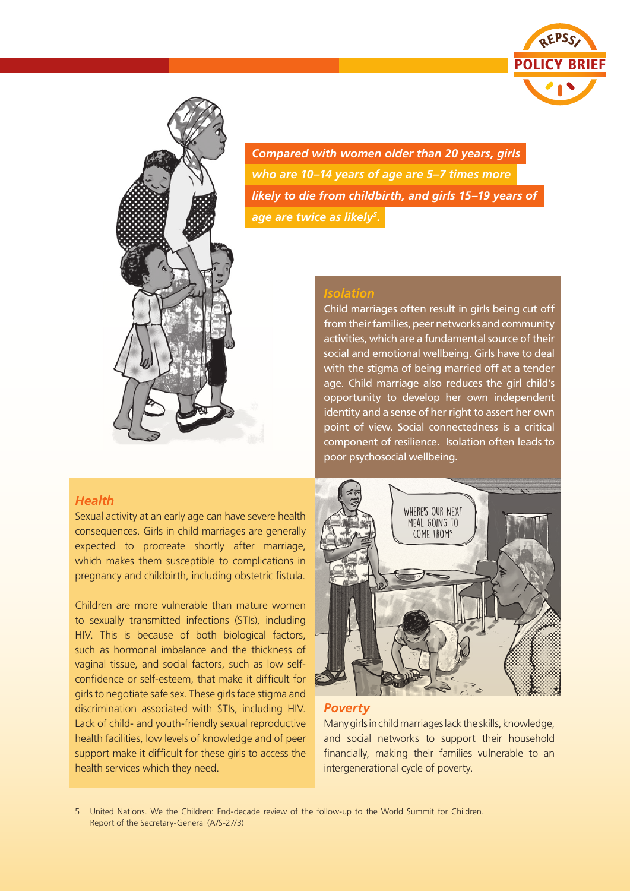



*Compared with women older than 20 years, girls who are 10–14 years of age are 5–7 times more likely to die from childbirth, and girls 15–19 years of age are twice as likely5.*

### *Isolation*

Child marriages often result in girls being cut off from their families, peer networks and community activities, which are a fundamental source of their social and emotional wellbeing. Girls have to deal with the stigma of being married off at a tender age. Child marriage also reduces the girl child's opportunity to develop her own independent identity and a sense of her right to assert her own point of view. Social connectedness is a critical component of resilience. Isolation often leads to poor psychosocial wellbeing.

#### *Health*

Sexual activity at an early age can have severe health consequences. Girls in child marriages are generally expected to procreate shortly after marriage, which makes them susceptible to complications in pregnancy and childbirth, including obstetric fistula.

Children are more vulnerable than mature women to sexually transmitted infections (STIs), including HIV. This is because of both biological factors, such as hormonal imbalance and the thickness of vaginal tissue, and social factors, such as low selfconfidence or self-esteem, that make it difficult for girls to negotiate safe sex. These girls face stigma and discrimination associated with STIs, including HIV. Lack of child- and youth-friendly sexual reproductive health facilities, low levels of knowledge and of peer support make it difficult for these girls to access the health services which they need.



#### *Poverty*

Many girls in child marriages lack the skills, knowledge, and social networks to support their household financially, making their families vulnerable to an intergenerational cycle of poverty.

5 United Nations. We the Children: End-decade review of the follow-up to the World Summit for Children. Report of the Secretary-General (A/S-27/3)